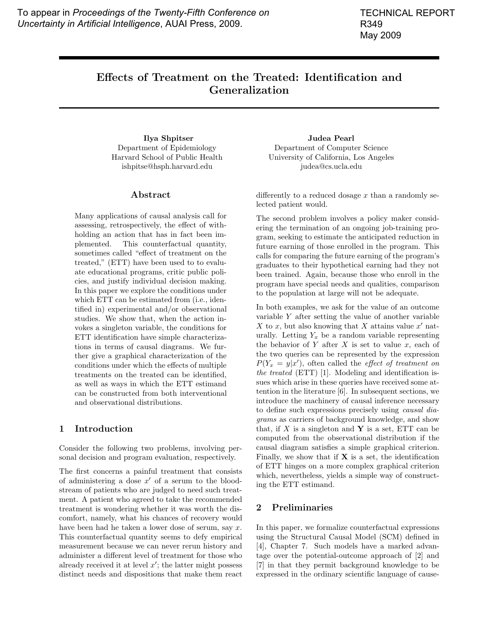# **Effects of Treatment on the Treated: Identification and Generalization**

**Ilya Shpitser** Department of Epidemiology Harvard School of Public Health ishpitse@hsph.harvard.edu

# **Abstract**

Many applications of causal analysis call for assessing, retrospectively, the effect of withholding an action that has in fact been implemented. This counterfactual quantity, sometimes called "effect of treatment on the treated," (ETT) have been used to to evaluate educational programs, critic public policies, and justify individual decision making. In this paper we explore the conditions under which ETT can be estimated from (i.e., identified in) experimental and/or observational studies. We show that, when the action invokes a singleton variable, the conditions for ETT identification have simple characterizations in terms of causal diagrams. We further give a graphical characterization of the conditions under which the effects of multiple treatments on the treated can be identified, as well as ways in which the ETT estimand can be constructed from both interventional and observational distributions.

## **1 Introduction**

Consider the following two problems, involving personal decision and program evaluation, respectively.

The first concerns a painful treatment that consists of administering a dose  $x'$  of a serum to the bloodstream of patients who are judged to need such treatment. A patient who agreed to take the recommended treatment is wondering whether it was worth the discomfort, namely, what his chances of recovery would have been had he taken a lower dose of serum, say  $x$ . This counterfactual quantity seems to defy empirical measurement because we can never rerun history and administer a different level of treatment for those who already received it at level  $x'$ ; the latter might possess distinct needs and dispositions that make them react

**Judea Pearl** Department of Computer Science University of California, Los Angeles judea@cs.ucla.edu

differently to a reduced dosage  $x$  than a randomly selected patient would.

The second problem involves a policy maker considering the termination of an ongoing job-training program, seeking to estimate the anticipated reduction in future earning of those enrolled in the program. This calls for comparing the future earning of the program's graduates to their hypothetical earning had they not been trained. Again, because those who enroll in the program have special needs and qualities, comparison to the population at large will not be adequate.

In both examples, we ask for the value of an outcome variable Y after setting the value of another variable X to x, but also knowing that X attains value  $x'$  naturally. Letting  $Y_x$  be a random variable representing the behavior of  $Y$  after  $X$  is set to value  $x$ , each of the two queries can be represented by the expression  $P(Y_x = y|x')$ , often called the *effect of treatment on* the treated (ETT) [1]. Modeling and identification issues which arise in these queries have received some attention in the literature [6]. In subsequent sections, we introduce the machinery of causal inference necessary to define such expressions precisely using causal diagrams as carriers of background knowledge, and show that, if  $X$  is a singleton and  $Y$  is a set, ETT can be computed from the observational distribution if the causal diagram satisfies a simple graphical criterion. Finally, we show that if  $X$  is a set, the identification of ETT hinges on a more complex graphical criterion which, nevertheless, yields a simple way of constructing the ETT estimand.

# **2 Preliminaries**

In this paper, we formalize counterfactual expressions using the Structural Causal Model (SCM) defined in [4], Chapter 7. Such models have a marked advantage over the potential-outcome approach of [2] and [7] in that they permit background knowledge to be expressed in the ordinary scientific language of cause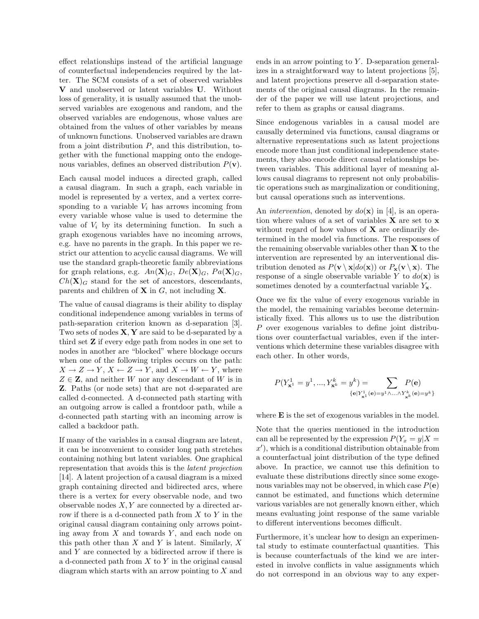effect relationships instead of the artificial language of counterfactual independencies required by the latter. The SCM consists of a set of observed variables **V** and unobserved or latent variables **U**. Without loss of generality, it is usually assumed that the unobserved variables are exogenous and random, and the observed variables are endogenous, whose values are obtained from the values of other variables by means of unknown functions. Unobserved variables are drawn from a joint distribution  $P$ , and this distribution, together with the functional mapping onto the endogenous variables, defines an observed distribution P(**v**).

Each causal model induces a directed graph, called a causal diagram. In such a graph, each variable in model is represented by a vertex, and a vertex corresponding to a variable  $V_i$  has arrows incoming from every variable whose value is used to determine the value of  $V_i$  by its determining function. In such a graph exogenous variables have no incoming arrows, e.g. have no parents in the graph. In this paper we restrict our attention to acyclic causal diagrams. We will use the standard graph-theoretic family abbreviations for graph relations, e.g.  $An(\mathbf{X})_G$ ,  $De(\mathbf{X})_G$ ,  $Pa(\mathbf{X})_G$ ,  $Ch(X)<sub>G</sub>$  stand for the set of ancestors, descendants, parents and children of **X** in G, not including **X**.

The value of causal diagrams is their ability to display conditional independence among variables in terms of path-separation criterion known as d-separation [3]. Two sets of nodes **X**, **Y** are said to be d-separated by a third set **Z** if every edge path from nodes in one set to nodes in another are "blocked" where blockage occurs when one of the following triples occurs on the path:  $X \to Z \to Y$ ,  $X \leftarrow Z \to Y$ , and  $X \to W \leftarrow Y$ , where  $Z \in \mathbf{Z}$ , and neither W nor any descendant of W is in **Z**. Paths (or node sets) that are not d-separated are called d-connected. A d-connected path starting with an outgoing arrow is called a frontdoor path, while a d-connected path starting with an incoming arrow is called a backdoor path.

If many of the variables in a causal diagram are latent, it can be inconvenient to consider long path stretches containing nothing but latent variables. One graphical representation that avoids this is the latent projection [14]. A latent projection of a causal diagram is a mixed graph containing directed and bidirected arcs, where there is a vertex for every observable node, and two observable nodes  $X, Y$  are connected by a directed arrow if there is a d-connected path from  $X$  to  $Y$  in the original causal diagram containing only arrows pointing away from  $X$  and towards  $Y$ , and each node on this path other than  $X$  and  $Y$  is latent. Similarly,  $X$ and Y are connected by a bidirected arrow if there is a d-connected path from  $X$  to  $Y$  in the original causal diagram which starts with an arrow pointing to X and ends in an arrow pointing to  $Y$ . D-separation generalizes in a straightforward way to latent projections [5], and latent projections preserve all d-separation statements of the original causal diagrams. In the remainder of the paper we will use latent projections, and refer to them as graphs or causal diagrams.

Since endogenous variables in a causal model are causally determined via functions, causal diagrams or alternative representations such as latent projections encode more than just conditional independence statements, they also encode direct causal relationships between variables. This additional layer of meaning allows causal diagrams to represent not only probabilistic operations such as marginalization or conditioning, but causal operations such as interventions.

An *intervention*, denoted by  $do(\mathbf{x})$  in [4], is an operation where values of a set of variables **X** are set to **x** without regard of how values of **X** are ordinarily determined in the model via functions. The responses of the remaining observable variables other than **X** to the intervention are represented by an interventional distribution denoted as  $P(\mathbf{v} \setminus \mathbf{x}|do(\mathbf{x}))$  or  $P_{\mathbf{x}}(\mathbf{v} \setminus \mathbf{x})$ . The response of a single observable variable Y to  $do(\mathbf{x})$  is sometimes denoted by a counterfactual variable  $Y_{\mathbf{x}}$ .

Once we fix the value of every exogenous variable in the model, the remaining variables become deterministically fixed. This allows us to use the distribution P over exogenous variables to define joint distributions over counterfactual variables, even if the interventions which determine these variables disagree with each other. In other words,

$$
P(Y_{\mathbf{x}^1}^1 = y^1, ..., Y_{\mathbf{x}^k}^k = y^k) = \sum_{\{\mathbf{e} | Y_{\mathbf{x}^1}^1(\mathbf{e}) = y^1 \wedge ... \wedge Y_{\mathbf{x}^k}^k(\mathbf{e}) = y^k\}}
$$

where **E** is the set of exogenous variables in the model.

Note that the queries mentioned in the introduction can all be represented by the expression  $P(Y_x = y | X =$  $x'$ , which is a conditional distribution obtainable from a counterfactual joint distribution of the type defined above. In practice, we cannot use this definition to evaluate these distributions directly since some exogenous variables may not be observed, in which case  $P(\mathbf{e})$ cannot be estimated, and functions which determine various variables are not generally known either, which means evaluating joint response of the same variable to different interventions becomes difficult.

Furthermore, it's unclear how to design an experimental study to estimate counterfactual quantities. This is because counterfactuals of the kind we are interested in involve conflicts in value assignments which do not correspond in an obvious way to any exper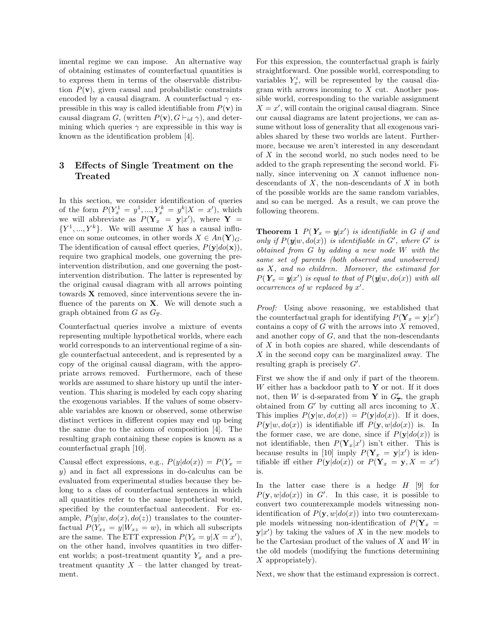imental regime we can impose. An alternative way of obtaining estimates of counterfactual quantities is to express them in terms of the observable distribution  $P(\mathbf{v})$ , given causal and probabilistic constraints encoded by a causal diagram. A counterfactual  $\gamma$  expressible in this way is called identifiable from  $P(\mathbf{v})$  in causal diagram G, (written  $P(\mathbf{v}), G \vdash_{id} \gamma$ ), and determining which queries  $\gamma$  are expressible in this way is known as the identification problem [4].

# **3 Effects of Single Treatment on the Treated**

In this section, we consider identification of queries of the form  $P(Y_x^1 = y^1, ..., Y_x^k = y^k | X = x')$ , which we will abbreviate as  $P(Y_x = y|x')$ , where **Y** =  ${Y^1, ..., Y^k}$ . We will assume X has a causal influence on some outcomes, in other words  $X \in An(Y)_{G}$ . The identification of causal effect queries,  $P(\mathbf{y}|do(\mathbf{x}))$ , require two graphical models, one governing the preintervention distribution, and one governing the postintervention distribution. The latter is represented by the original causal diagram with all arrows pointing towards **X** removed, since interventions severe the influence of the parents on **X**. We will denote such a graph obtained from G as  $G_{\overline{x}}$ .

Counterfactual queries involve a mixture of events representing multiple hypothetical worlds, where each world corresponds to an interventional regime of a single counterfactual antecedent, and is represented by a copy of the original causal diagram, with the appropriate arrows removed. Furthermore, each of these worlds are assumed to share history up until the intervention. This sharing is modeled by each copy sharing the exogenous variables. If the values of some observable variables are known or observed, some otherwise distinct vertices in different copies may end up being the same due to the axiom of composition [4]. The resulting graph containing these copies is known as a counterfactual graph [10].

Causal effect expressions, e.g.,  $P(y|do(x)) = P(Y_x =$ y) and in fact all expressions in do-calculus can be evaluated from experimental studies because they belong to a class of counterfactual sentences in which all quantities refer to the same hypothetical world, specified by the counterfactual antecedent. For example,  $P(y|w, do(x), do(z))$  translates to the counterfactual  $P(Y_{xz} = y|W_{xz} = w)$ , in which all subscripts are the same. The ETT expression  $P(Y_x = y | X = x')$ , on the other hand, involves quantities in two different worlds; a post-treatment quantity  $Y_x$  and a pretreatment quantity  $X$  – the latter changed by treatment.

For this expression, the counterfactual graph is fairly straightforward. One possible world, corresponding to variables  $Y_x^i$ , will be represented by the causal diagram with arrows incoming to  $X$  cut. Another possible world, corresponding to the variable assignment  $X = x'$ , will contain the original causal diagram. Since our causal diagrams are latent projections, we can assume without loss of generality that all exogenous variables shared by these two worlds are latent. Furthermore, because we aren't interested in any descendant of  $X$  in the second world, no such nodes need to be added to the graph representing the second world. Finally, since intervening on X cannot influence nondescendants of  $X$ , the non-descendants of  $X$  in both of the possible worlds are the same random variables, and so can be merged. As a result, we can prove the following theorem.

**Theorem 1**  $P(Y_x = y|x')$  is identifiable in G if and only if  $P(y|w, do(x))$  is identifiable in  $G'$ , where  $G'$  is obtained from G by adding a new node W with the same set of parents (both observed and unobserved) as X, and no children. Moreover, the estimand for  $P(Y_x = y|x')$  is equal to that of  $P(y|w, do(x))$  with all occurrences of  $w$  replaced by  $x'$ .

Proof: Using above reasoning, we established that the counterfactual graph for identifying  $P(\mathbf{Y}_x = \mathbf{y}|x')$ contains a copy of  $G$  with the arrows into  $X$  removed, and another copy of  $G$ , and that the non-descendants of  $X$  in both copies are shared, while descendants of X in the second copy can be marginalized away. The resulting graph is precisely  $G'$ .

First we show the if and only if part of the theorem. W either has a backdoor path to **Y** or not. If it does not, then W is d-separated from **Y** in  $G'_{\overline{x}}$ , the graph obtained from  $G'$  by cutting all arcs incoming to  $X$ . This implies  $P(\mathbf{y}|w, do(x)) = P(\mathbf{y}|do(x))$ . If it does,  $P(\mathbf{y}|w, do(x))$  is identifiable iff  $P(\mathbf{y}, w|do(x))$  is. In the former case, we are done, since if  $P(y|do(x))$  is not identifiable, then  $P(Y_x|x')$  isn't either. This is because results in [10] imply  $P(Y_x = y|x')$  is identifiable iff either  $P(\mathbf{y}|do(x))$  or  $P(\mathbf{Y}_x = \mathbf{y}, X = x')$ is.

In the latter case there is a hedge  $H$  [9] for  $P(\mathbf{y}, w|do(x))$  in G'. In this case, it is possible to convert two counterexample models witnessing nonidentification of  $P(\mathbf{v}, w|do(x))$  into two counterexample models witnessing non-identification of  $P(Y_x =$  $y|x'$  by taking the values of X in the new models to be the Cartesian product of the values of  $X$  and  $W$  in the old models (modifying the functions determining X appropriately).

Next, we show that the estimand expression is correct.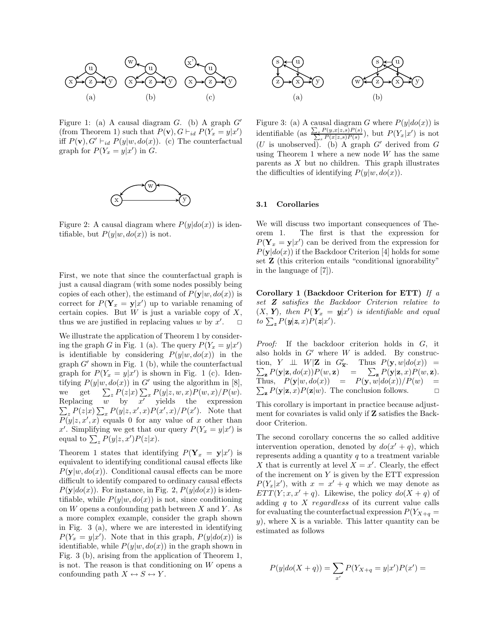

Figure 1: (a) A causal diagram  $G$ . (b) A graph  $G'$ (from Theorem 1) such that  $P(\mathbf{v}), G \vdash_{id} P(Y_x = y | x')$ iff  $P(\mathbf{v}), G' \vdash_{id} P(y|w, do(x)).$  (c) The counterfactual graph for  $P(Y_x = y|x')$  in G.



Figure 2: A causal diagram where  $P(y|do(x))$  is identifiable, but  $P(y|w, do(x))$  is not.

First, we note that since the counterfactual graph is just a causal diagram (with some nodes possibly being copies of each other), the estimand of  $P(\mathbf{y}|w, do(x))$  is correct for  $P(Y_x = y|x')$  up to variable renaming of certain copies. But  $W$  is just a variable copy of  $X$ , thus we are justified in replacing values  $w$  by  $x'$  $\Box$ 

We illustrate the application of Theorem 1 by considering the graph G in Fig. 1 (a). The query  $P(Y_x = y|x')$ is identifiable by considering  $P(y|w, do(x))$  in the  $graph G'$  shown in Fig. 1 (b), while the counterfactual graph for  $P(Y_x = y|x')$  is shown in Fig. 1 (c). Identifying  $P(y|w, do(x))$  in G' using the algorithm in [8], we get  $\sum_{z} P(z|x) \sum_{x} P(y|z, w, x) P(w, x) / P(w)$ . Replacing  $w$  by  $x'$  yields the expression  $\sum_{z} P(z|x) \sum_{x} P(y|z,x',x) P(x',x) / P(x')$ . Note that  $P(y|z, x', x)$  equals 0 for any value of x other than x'. Simplifying we get that our query  $P(Y_x = y|x')$  is equal to  $\sum_{z} P(y|z, x') P(z|x)$ .

Theorem 1 states that identifying  $P(Y_x = y|x')$  is equivalent to identifying conditional causal effects like  $P(\mathbf{y}|w, do(x))$ . Conditional causal effects can be more difficult to identify compared to ordinary causal effects  $P(\mathbf{y}|do(x))$ . For instance, in Fig. 2,  $P(y|do(x))$  is identifiable, while  $P(y|w, do(x))$  is not, since conditioning on  $W$  opens a confounding path between  $X$  and  $Y$ . As a more complex example, consider the graph shown in Fig. 3 (a), where we are interested in identifying  $P(Y_x = y|x')$ . Note that in this graph,  $P(y|do(x))$  is identifiable, while  $P(y|w, do(x))$  in the graph shown in Fig. 3 (b), arising from the application of Theorem 1, is not. The reason is that conditioning on  $W$  opens a confounding path  $X \leftrightarrow S \leftrightarrow Y$ .



Figure 3: (a) A causal diagram G where  $P(y|do(x))$  is identifiable (as  $\frac{\sum_{s} P(y,x|z,s)P(s)}{\sum_{s} P(x|z,s)P(s)}$ ), but  $P(Y_x|x')$  is not  $(U \text{ is unobserved})$ . (b) A graph G' derived from G using Theorem 1 where a new node  $W$  has the same parents as  $X$  but no children. This graph illustrates the difficulties of identifying  $P(y|w, do(x))$ .

#### **3.1 Corollaries**

We will discuss two important consequences of Theorem 1. The first is that the expression for  $P(Y_x = y|x')$  can be derived from the expression for  $P(\mathbf{y}|do(x))$  if the Backdoor Criterion [4] holds for some set **Z** (this criterion entails "conditional ignorability" in the language of [7]).

**Corollary 1 (Backdoor Criterion for ETT)** If a set **Z** satisfies the Backdoor Criterion relative to  $(X, Y)$ , then  $P(Y_x = y|x')$  is identifiable and equal  $to \sum_{\mathbf{z}} P(\mathbf{y}|\mathbf{z},x) P(\mathbf{z}|x').$ 

Proof: If the backdoor criterion holds in G, it also holds in  $G'$  where  $W$  is added. By construction,  $Y \perp \perp W|\mathbf{Z}$  in  $G'_{\overline{\mathbf{x}}}$ . Thus  $P(\mathbf{y}, w|do(x)) = \sum_{\mathbf{z}} P(\mathbf{y}|\mathbf{z}, do(x))P(w, \mathbf{z}) = \sum_{\mathbf{z}} P(\mathbf{y}|\mathbf{z}, x)P(w, \mathbf{z}).$  $\mathbf{z} \cdot P(\mathbf{y}|\mathbf{z}, do(x))P(w, \mathbf{z}) = \sum_{\mathbf{z}} P(\mathbf{y}|\mathbf{z}, x)P(w, \mathbf{z}).$  $\sum_{\mathbf{z}} P(\mathbf{y}|\mathbf{z}, x) P(\mathbf{z}|w)$ . The conclusion follows.  $\Box$ Thus,  $P(\mathbf{y}|w, do(x)) = P(\mathbf{y}, w|do(x))/P(w)$  $\Box$ 

This corollary is important in practice because adjustment for covariates is valid only if **Z** satisfies the Backdoor Criterion.

The second corollary concerns the so called additive intervention operation, denoted by  $do(x' + q)$ , which represents adding a quantity  $q$  to a treatment variable X that is currently at level  $X = x'$ . Clearly, the effect of the increment on  $Y$  is given by the ETT expression  $P(Y_x|x')$ , with  $x = x' + q$  which we may denote as  $ETT(Y; x, x' + q)$ . Likewise, the policy  $do(X + q)$  of adding  $q$  to  $X$  regardless of its current value calls for evaluating the counterfactual expression  $P(Y_{X+q} =$  $y$ ), where X is a variable. This latter quantity can be estimated as follows

$$
P(y|do(X + q)) = \sum_{x'} P(Y_{X+q} = y|x')P(x') =
$$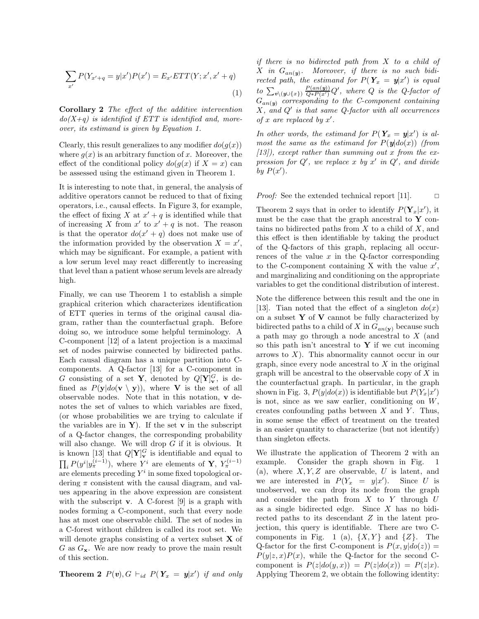$$
\sum_{x'} P(Y_{x'+q} = y|x')P(x') = E_{x'}ETT(Y; x', x' + q)
$$
\n(1)

**Corollary 2** The effect of the additive intervention  $do(X+q)$  is identified if ETT is identified and, moreover, its estimand is given by Equation 1.

Clearly, this result generalizes to any modifier  $d\rho(q(x))$ where  $g(x)$  is an arbitrary function of x. Moreover, the effect of the conditional policy  $d\sigma(g(x))$  if  $X = x$  can be assessed using the estimand given in Theorem 1.

It is interesting to note that, in general, the analysis of additive operators cannot be reduced to that of fixing operators, i.e., causal effects. In Figure 3, for example, the effect of fixing X at  $x' + q$  is identified while that of increasing X from  $x'$  to  $x' + q$  is not. The reason is that the operator  $d\sigma(x'+q)$  does not make use of the information provided by the observation  $X = x'$ , which may be significant. For example, a patient with a low serum level may react differently to increasing that level than a patient whose serum levels are already high.

Finally, we can use Theorem 1 to establish a simple graphical criterion which characterizes identification of ETT queries in terms of the original causal diagram, rather than the counterfactual graph. Before doing so, we introduce some helpful terminology. A C-component [12] of a latent projection is a maximal set of nodes pairwise connected by bidirected paths. Each causal diagram has a unique partition into Ccomponents. A Q-factor [13] for a C-component in G consisting of a set **Y**, denoted by  $Q[\mathbf{Y}]_{\mathbf{v}}^G$ , is defined as  $P(\mathbf{y}|do(\mathbf{v} \setminus \mathbf{y}))$ , where **V** is the set of all observable nodes. Note that in this notation, **v** denotes the set of values to which variables are fixed, (or whose probabilities we are trying to calculate if the variables are in  $Y$ ). If the set **v** in the subscript of a Q-factor changes, the corresponding probability will also change. We will drop  $G$  if it is obvious. It is known [13] that  $Q[\mathbf{Y}]_{\mathbf{v}}^G$  is identifiable and equal to  $\prod_i P(y^i | y^{(i-1)}_{\pi}),$  where Y<sup>i</sup> are elements of **Y**,  $Y^{(i-1)}_{\pi}$ are elements preceding  $Y^i$  in some fixed topological ordering  $\pi$  consistent with the causal diagram, and values appearing in the above expression are consistent with the subscript **v**. A C-forest [9] is a graph with nodes forming a C-component, such that every node has at most one observable child. The set of nodes in a C-forest without children is called its root set. We will denote graphs consisting of a vertex subset **X** of G as G**x**. We are now ready to prove the main result of this section.

**Theorem 2**  $P(v)$ ,  $G \vdash_{id} P(Y_x = y|x')$  if and only

if there is no bidirected path from X to a child of  $X$  in  $G_{an}(y)$ . Moreover, if there is no such bidirected path, the estimand for  $P(Y_x = y|x')$  is equal to  $\sum_{v \setminus (y \cup \{x\})} \frac{P(an(y))}{Q*P(x')}$  $\frac{P(an(\bm{y}))}{Q*P(x')}Q'$ , where  $Q$  is the  $Q$ -factor of  $G_{an}(y)$  corresponding to the C-component containing  $X$ , and  $Q'$  is that same  $Q$ -factor with all occurrences of x are replaced by  $x'$ .

In other words, the estimand for  $P(Y_x = y|x')$  is almost the same as the estimand for  $P(\mathbf{y}|do(x))$  (from  $[13]$ , except rather than summing out x from the expression for  $Q'$ , we replace x by x' in  $Q'$ , and divide by  $P(x')$ .

*Proof:* See the extended technical report [11].  $\Box$ 

Theorem 2 says that in order to identify  $P(\mathbf{Y}_x|x')$ , it must be the case that the graph ancestral to **Y** contains no bidirected paths from  $X$  to a child of  $X$ , and this effect is then identifiable by taking the product of the Q-factors of this graph, replacing all occurrences of the value  $x$  in the Q-factor corresponding to the C-component containing X with the value  $x'$ , and marginalizing and conditioning on the appropriate variables to get the conditional distribution of interest.

Note the difference between this result and the one in [13]. Tian noted that the effect of a singleton  $do(x)$ on a subset **Y** of **V** cannot be fully characterized by bidirected paths to a child of X in  $G_{an}(\mathbf{v})$  because such a path may go through a node ancestral to X (and so this path isn't ancestral to **Y** if we cut incoming arrows to  $X$ ). This abnormality cannot occur in our graph, since every node ancestral to  $X$  in the original graph will be ancestral to the observable copy of  $X$  in the counterfactual graph. In particular, in the graph shown in Fig. 3,  $P(y|do(x))$  is identifiable but  $P(Y_x|x')$ is not, since as we saw earlier, conditioning on W, creates confounding paths between  $X$  and  $Y$ . Thus, in some sense the effect of treatment on the treated is an easier quantity to characterize (but not identify) than singleton effects.

We illustrate the application of Theorem 2 with an example. Consider the graph shown in Fig. 1 (a), where  $X, Y, Z$  are observable, U is latent, and we are interested in  $P(Y_x = y|x')$ . Since U is unobserved, we can drop its node from the graph and consider the path from  $X$  to  $Y$  through  $U$ as a single bidirected edge. Since X has no bidirected paths to its descendant Z in the latent projection, this query is identifiable. There are two Ccomponents in Fig. 1 (a),  $\{X,Y\}$  and  $\{Z\}$ . The Q-factor for the first C-component is  $P(x, y|do(z)) =$  $P(y|z, x)P(x)$ , while the Q-factor for the second Ccomponent is  $P(z|do(y, x)) = P(z|do(x)) = P(z|x)$ . Applying Theorem 2, we obtain the following identity: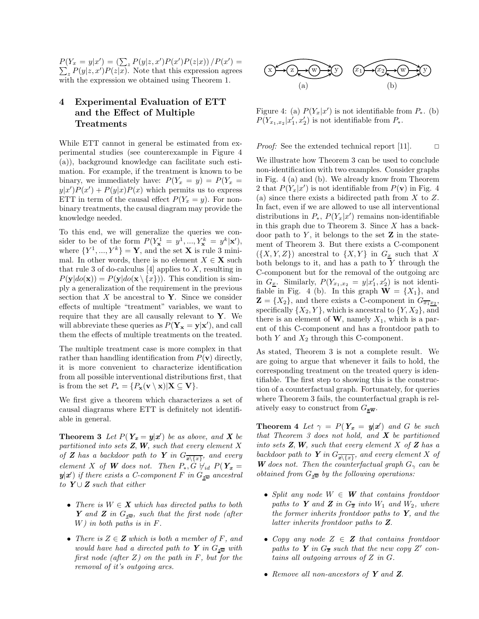$P(Y_x = y|x') = (\sum_z P(y|z, x')P(x')P(z|x)) / P(x') =$  $\sum_{z} P(y|z, x') P(z|x)$ . Note that this expression agrees with the expression we obtained using Theorem 1.

# **4 Experimental Evaluation of ETT and the Effect of Multiple Treatments**

While ETT cannot in general be estimated from experimental studies (see counterexample in Figure 4 (a)), background knowledge can facilitate such estimation. For example, if the treatment is known to be binary, we immediately have:  $P(Y_x = y) = P(Y_x = y)$  $y|x'|P(x') + P(y|x)P(x)$  which permits us to express ETT in term of the causal effect  $P(Y_x = y)$ . For nonbinary treatments, the causal diagram may provide the knowledge needed.

To this end, we will generalize the queries we consider to be of the form  $P(Y_{\mathbf{x}}^1 = y^1, ..., Y_{\mathbf{x}}^k = y^k | \mathbf{x}'),$ where  $\{Y^1, ..., Y^k\} = \mathbf{Y}$ , and the set **X** is rule 3 minimal. In other words, there is no element  $X \in \mathbf{X}$  such that rule 3 of do-calculus  $[4]$  applies to X, resulting in  $P(\mathbf{y}|do(\mathbf{x})) = P(\mathbf{y}|do(\mathbf{x} \setminus \{x\}))$ . This condition is simply a generalization of the requirement in the previous section that  $X$  be ancestral to  $Y$ . Since we consider effects of multiple "treatment" variables, we want to require that they are all causally relevant to **Y**. We will abbreviate these queries as  $P(Y_x = y | x')$ , and call them the effects of multiple treatments on the treated.

The multiple treatment case is more complex in that rather than handling identification from  $P(\mathbf{v})$  directly, it is more convenient to characterize identification from all possible interventional distributions first, that is from the set  $P_* = \{P_{\mathbf{x}}(\mathbf{v} \setminus \mathbf{x}) | \mathbf{X} \subseteq \mathbf{V}\}.$ 

We first give a theorem which characterizes a set of causal diagrams where ETT is definitely not identifiable in general.

**Theorem 3** Let  $P(Y_x = y | x')$  be as above, and **X** be partitioned into sets  $Z$ ,  $W$ , such that every element  $X$ of **Z** has a backdoor path to **Y** in  $G_{\overline{x\setminus\{x\}}}$ , and every element X of **W** does not. Then  $P_*, G \nvdash_{id} P(Y_x =$  $y|x'$ ) if there exists a C-component F in  $G_{z\overline{\boldsymbol{w}}}$  ancestral to  $Y \cup Z$  such that either

- There is  $W \in \mathbf{X}$  which has directed paths to both **Y** and **Z** in G**zw**, such that the first node (after W) in both paths is in F.
- There is  $Z \in \mathbf{Z}$  which is both a member of F, and would have had a directed path to **Y** in  $G_{z\overline{w}}$  with first node (after  $Z$ ) on the path in  $F$ , but for the removal of it's outgoing arcs.



Figure 4: (a)  $P(Y_x|x')$  is not identifiable from  $P_*$ . (b)  $P(Y_{x_1,x_2}|x_1',x_2')$  is not identifiable from  $P_*$ .

Proof: See the extended technical report [11].  $\Box$ 

We illustrate how Theorem 3 can be used to conclude non-identification with two examples. Consider graphs in Fig. 4 (a) and (b). We already know from Theorem 2 that  $P(Y_x|x')$  is not identifiable from  $P(\mathbf{v})$  in Fig. 4 (a) since there exists a bidirected path from  $X$  to  $Z$ . In fact, even if we are allowed to use all interventional distributions in  $P_*$ ,  $P(Y_x|x')$  remains non-identifiable in this graph due to Theorem 3. Since  $X$  has a backdoor path to  $Y$ , it belongs to the set  $\mathbf{Z}$  in the statement of Theorem 3. But there exists a C-component  $({X, Y, Z})$  ancestral to  ${X, Y}$  in  $G_x$  such that X both belongs to it, and has a path to  $Y$  through the C-component but for the removal of the outgoing arc in  $G_{\underline{x}}$ . Similarly,  $P(Y_{x_1,x_2} = y | x_1', x_2')$  is not identifiable in Fig. 4 (b). In this graph  $\mathbf{W} = \{X_1\}$ , and  $\mathbf{Z} = \{X_2\}$ , and there exists a C-component in  $G_{\overline{x_1}x_2}$ , specifically  $\{X_2, Y\}$ , which is ancestral to  $\{Y, X_2\}$ , and there is an element of  $W$ , namely  $X_1$ , which is a parent of this C-component and has a frontdoor path to both  $Y$  and  $X_2$  through this C-component.

As stated, Theorem 3 is not a complete result. We are going to argue that whenever it fails to hold, the corresponding treatment on the treated query is identifiable. The first step to showing this is the construction of a counterfactual graph. Fortunately, for queries where Theorem 3 fails, the counterfactual graph is relatively easy to construct from  $G_{\mathbf{z}\overline{\mathbf{w}}}$ .

**Theorem 4** Let  $\gamma = P(Y_x = y | x')$  and G be such that Theorem 3 does not hold, and **X** be partitioned into sets  $Z$ ,  $W$ , such that every element  $X$  of  $Z$  has a backdoor path to **Y** in  $G_{\overline{x\setminus\{x\}}}$ , and every element X of **W** does not. Then the counterfactual graph  $G_\gamma$  can be obtained from  $G_{z\overline{w}}$  by the following operations:

- Split any node  $W \in W$  that contains frontdoor paths to **Y** and **Z** in  $G_{\overline{x}}$  into  $W_1$  and  $W_2$ , where the former inherits frontdoor paths to **Y**, and the latter inherits frontdoor paths to **Z**.
- Copy any node  $Z \in \mathbf{Z}$  that contains frontdoor paths to **Y** in  $G_{\overline{x}}$  such that the new copy Z' contains all outgoing arrows of Z in G.
- Remove all non-ancestors of **Y** and **Z**.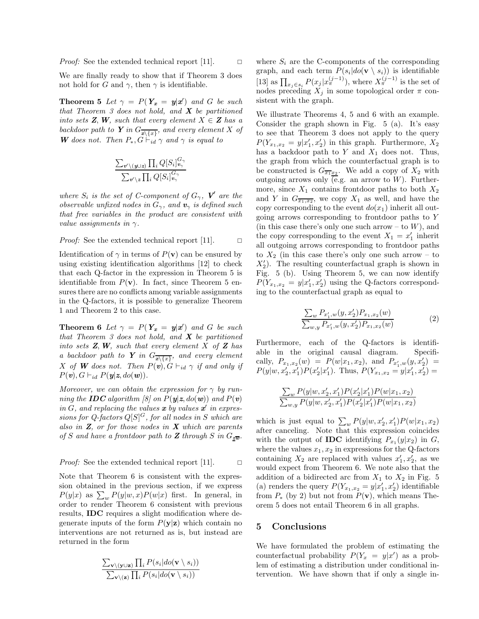We are finally ready to show that if Theorem 3 does not hold for G and  $\gamma$ , then  $\gamma$  is identifiable.

**Theorem 5** Let  $\gamma = P(Y_x = y|x')$  and G be such that Theorem 3 does not hold, and **X** be partitioned into sets **Z**, **W**, such that every element  $X \in \mathbf{Z}$  has a backdoor path to **Y** in  $G_{\overline{x\setminus\{x\}}}$ , and every element X of **W** does not. Then  $P_*, G \vdash_{id} \gamma$  and  $\gamma$  is equal to

$$
\frac{\sum_{v' \setminus (y \cup z)} \prod_i Q[S_i]_{v_\gamma}^{G_\gamma}}{\sum_{v' \setminus z} \prod_i Q[S_i]_{v_\gamma}^{G_\gamma}}
$$

where  $S_i$  is the set of C-component of  $G_\gamma$ , **V**<sup> $\prime$ </sup> are the observable unfixed nodes in  $G_{\gamma}$ , and  $v_{\gamma}$  is defined such that free variables in the product are consistent with value assignments in  $\gamma$ .

*Proof:* See the extended technical report [11]. 
$$
\Box
$$

Identification of  $\gamma$  in terms of  $P(\mathbf{v})$  can be ensured by using existing identification algorithms [12] to check that each Q-factor in the expression in Theorem 5 is identifiable from  $P(\mathbf{v})$ . In fact, since Theorem 5 ensures there are no conflicts among variable assignments in the Q-factors, it is possible to generalize Theorem 1 and Theorem 2 to this case.

**Theorem 6** Let  $\gamma = P(Y_x = y | x')$  and G be such that Theorem 3 does not hold, and **X** be partitioned into sets  $Z$ ,  $W$ , such that every element  $X$  of  $Z$  has a backdoor path to **Y** in  $G_{\overline{x\setminus\{x\}}}$ , and every element X of **W** does not. Then  $P(\mathbf{v})$ ,  $G \vdash_{id} \gamma$  if and only if  $P(\mathbf{v}), G \vdash_{id} P(\mathbf{y}|\mathbf{z}, do(\mathbf{w})).$ 

Moreover, we can obtain the expression for  $\gamma$  by running the **IDC** algorithm [8] on  $P(y|z, do(w))$  and  $P(v)$ in  $G$ , and replacing the values  $\boldsymbol{x}$  by values  $\boldsymbol{x}'$  in expressions for  $Q$ -factors  $Q[S]^G$ , for all nodes in S which are also in **Z**, or for those nodes in **X** which are parents of S and have a frontdoor path to **Z** through S in  $G_{\overline{zw}}$ .

*Proof:* See the extended technical report [11]. 
$$
\Box
$$

Note that Theorem 6 is consistent with the expression obtained in the previous section, if we express  $P(y|x)$  as  $\sum_{w} P(y|w, x)P(w|x)$  first. In general, in order to render Theorem 6 consistent with previous results, **IDC** requires a slight modification where degenerate inputs of the form  $P(y|z)$  which contain no interventions are not returned as is, but instead are returned in the form

$$
\frac{\sum_{\mathbf{v}\setminus(\mathbf{y}\cup\mathbf{z})}\prod_{i}P(s_i|do(\mathbf{v}\setminus s_i))}{\sum_{\mathbf{v}\setminus(\mathbf{z})}\prod_{i}P(s_i|do(\mathbf{v}\setminus s_i))}
$$

where  $S_i$  are the C-components of the corresponding graph, and each term  $P(s_i|do(\mathbf{v} \setminus s_i))$  is identifiable [13] as  $\prod_{x_j \in s_i} P(x_j | x_{\pi}^{(j-1)})$ , where  $X_{\pi}^{(j-1)}$  is the set of nodes preceding  $X_i$  in some topological order  $\pi$  consistent with the graph.

We illustrate Theorems 4, 5 and 6 with an example. Consider the graph shown in Fig. 5 (a). It's easy to see that Theorem 3 does not apply to the query  $P(Y_{x_1,x_2} = y | x_1', x_2')$  in this graph. Furthermore,  $X_2$ has a backdoor path to  $Y$  and  $X_1$  does not. Thus, the graph from which the counterfactual graph is to be constructed is  $G_{\overline{x_1x_2}}$ . We add a copy of  $X_2$  with outgoing arrows only  $\overline{(e.g.)}$  an arrow to W). Furthermore, since  $X_1$  contains frontdoor paths to both  $X_2$ and Y in  $G_{\overline{x_1},\overline{x_2}}$ , we copy  $X_1$  as well, and have the copy corresponding to the event  $do(x_1)$  inherit all outgoing arrows corresponding to frontdoor paths to Y (in this case there's only one such arrow – to  $W$ ), and the copy corresponding to the event  $X_1 = x_1'$  inherit all outgoing arrows corresponding to frontdoor paths to  $X_2$  (in this case there's only one such arrow – to  $X_2'$ ). The resulting counterfactual graph is shown in Fig. 5 (b). Using Theorem 5, we can now identify  $P(Y_{x_1,x_2} = y | x_1', x_2')$  using the Q-factors corresponding to the counterfactual graph as equal to

$$
\frac{\sum_{w} P_{x'_1,w}(y, x'_2) P_{x_1,x_2}(w)}{\sum_{w,y} P_{x'_1,w}(y, x'_2) P_{x_1,x_2}(w)}
$$
\n(2)

Furthermore, each of the Q-factors is identifiable in the original causal diagram. Specifically,  $P_{x_1,x_2}(w) = P(w|x_1,x_2)$ , and  $P_{x'_1,w}(y,x'_2) =$  $P(y|w, x'_2, x'_1)P(x'_2|x'_1)$ . Thus,  $P(Y_{x_1,x_2} = y|x'_1, x'_2) =$ 

$$
\frac{\sum_{w} P(y|w, x_2', x_1') P(x_2'|x_1') P(w|x_1, x_2)}{\sum_{w,y} P(y|w, x_2', x_1') P(x_2'|x_1') P(w|x_1, x_2)}
$$

which is just equal to  $\sum_{w} P(y|w, x_2', x_1') P(w|x_1, x_2)$ after canceling. Note that this expression coincides with the output of **IDC** identifying  $P_{x_1}(y|x_2)$  in G, where the values  $x_1, x_2$  in expressions for the Q-factors containing  $X_2$  are replaced with values  $x'_1, x'_2$ , as we would expect from Theorem 6. We note also that the addition of a bidirected arc from  $X_1$  to  $X_2$  in Fig. 5 (a) renders the query  $P(Y_{x_1,x_2} = y | x_1', x_2')$  identifiable from  $P_*$  (by 2) but not from  $P(\mathbf{v})$ , which means Theorem 5 does not entail Theorem 6 in all graphs.

## **5 Conclusions**

We have formulated the problem of estimating the counterfactual probability  $P(Y_x = y|x')$  as a problem of estimating a distribution under conditional intervention. We have shown that if only a single in-